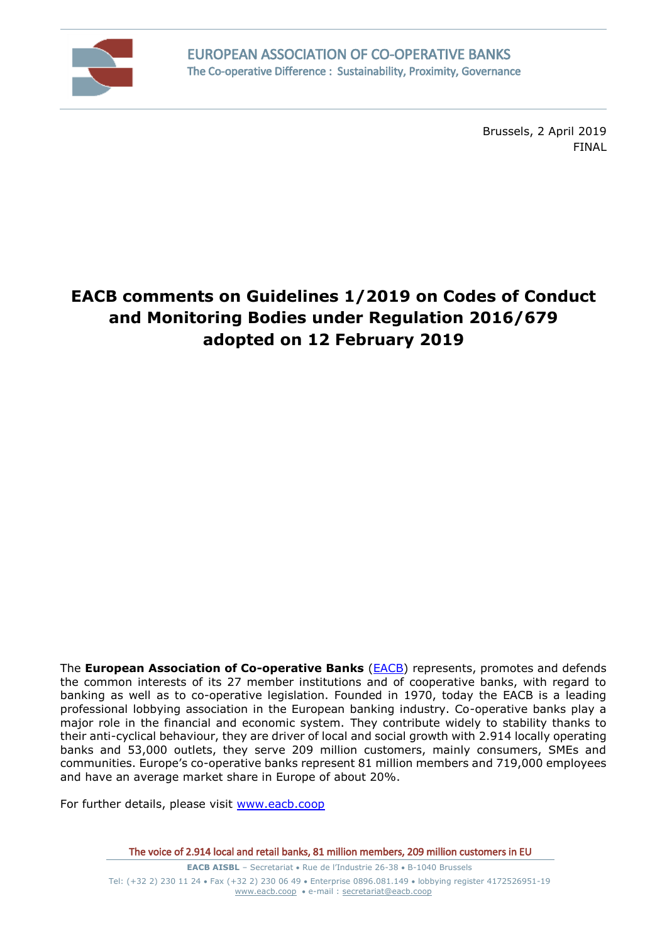

Brussels, 2 April 2019 FINAL

## **EACB comments on Guidelines 1/2019 on Codes of Conduct and Monitoring Bodies under Regulation 2016/679 adopted on 12 February 2019**

The **European Association of Co-operative Banks** [\(EACB\)](http://www.eacb.coop/en/home.html) represents, promotes and defends the common interests of its 27 member institutions and of cooperative banks, with regard to banking as well as to co-operative legislation. Founded in 1970, today the EACB is a leading professional lobbying association in the European banking industry. Co-operative banks play a major role in the financial and economic system. They contribute widely to stability thanks to their anti-cyclical behaviour, they are driver of local and social growth with 2.914 locally operating banks and 53,000 outlets, they serve 209 million customers, mainly consumers, SMEs and communities. Europe's co-operative banks represent 81 million members and 719,000 employees and have an average market share in Europe of about 20%.

For further details, please visit [www.eacb.coop](http://www.eacb.coop/)

The voice of 2.914 local and retail banks, 81 million members, 209 million customers in EU

**EACB AISBL** – Secretariat • Rue de l'Industrie 26-38 • B-1040 Brussels Tel: (+32 2) 230 11 24 Fax (+32 2) 230 06 49 Enterprise 0896.081.149 lobbying register 4172526951-19 [www.eacb.coop](http://www.eacb.coop/)  e-mail : [secretariat@eacb.coop](mailto:secretariat@eacb.coop)